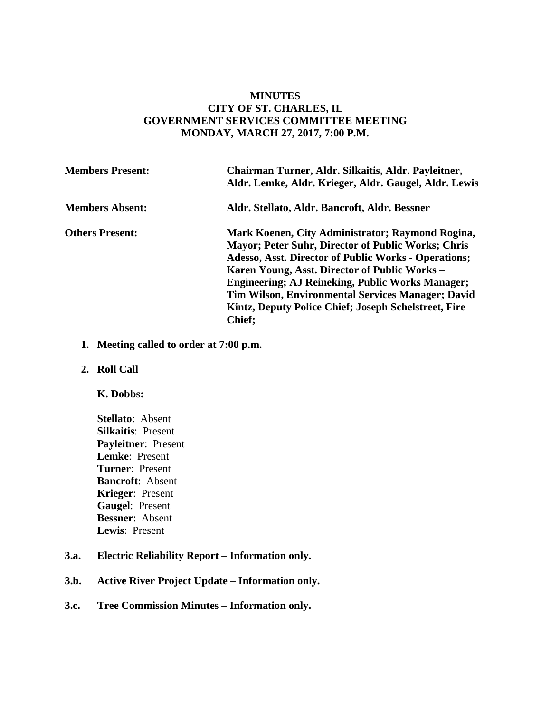## **MINUTES CITY OF ST. CHARLES, IL GOVERNMENT SERVICES COMMITTEE MEETING MONDAY, MARCH 27, 2017, 7:00 P.M.**

| <b>Members Present:</b> | Chairman Turner, Aldr. Silkaitis, Aldr. Payleitner,<br>Aldr. Lemke, Aldr. Krieger, Aldr. Gaugel, Aldr. Lewis                                                                                                                                                                                                                                                                                                                    |
|-------------------------|---------------------------------------------------------------------------------------------------------------------------------------------------------------------------------------------------------------------------------------------------------------------------------------------------------------------------------------------------------------------------------------------------------------------------------|
| <b>Members Absent:</b>  | Aldr. Stellato, Aldr. Bancroft, Aldr. Bessner                                                                                                                                                                                                                                                                                                                                                                                   |
| <b>Others Present:</b>  | Mark Koenen, City Administrator; Raymond Rogina,<br><b>Mayor</b> ; Peter Suhr, Director of Public Works; Chris<br><b>Adesso, Asst. Director of Public Works - Operations;</b><br>Karen Young, Asst. Director of Public Works –<br><b>Engineering; AJ Reineking, Public Works Manager;</b><br><b>Tim Wilson, Environmental Services Manager; David</b><br>Kintz, Deputy Police Chief; Joseph Schelstreet, Fire<br><b>Chief</b> ; |

- **1. Meeting called to order at 7:00 p.m.**
- **2. Roll Call**

#### **K. Dobbs:**

- **Stellato**: Absent **Silkaitis**: Present **Payleitner**: Present **Lemke**: Present **Turner**: Present **Bancroft**: Absent **Krieger**: Present **Gaugel**: Present **Bessner**: Absent **Lewis**: Present
- **3.a. Electric Reliability Report – Information only.**
- **3.b. Active River Project Update – Information only.**
- **3.c. Tree Commission Minutes – Information only.**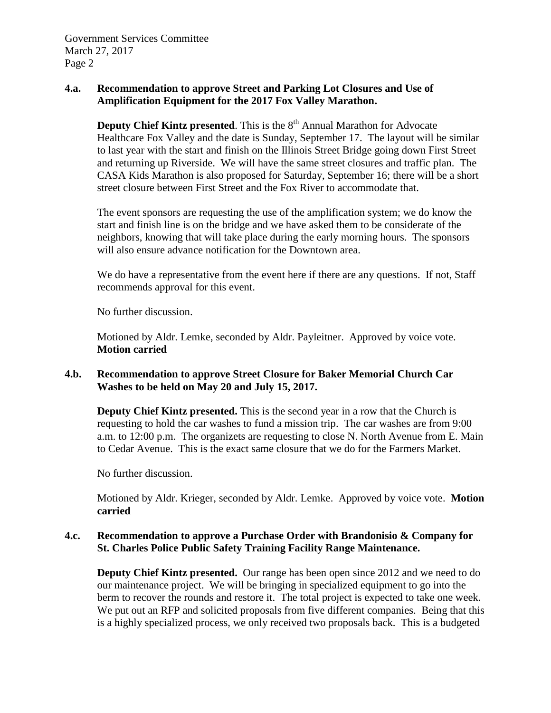## **4.a. Recommendation to approve Street and Parking Lot Closures and Use of Amplification Equipment for the 2017 Fox Valley Marathon.**

**Deputy Chief Kintz presented**. This is the 8<sup>th</sup> Annual Marathon for Advocate Healthcare Fox Valley and the date is Sunday, September 17. The layout will be similar to last year with the start and finish on the Illinois Street Bridge going down First Street and returning up Riverside. We will have the same street closures and traffic plan. The CASA Kids Marathon is also proposed for Saturday, September 16; there will be a short street closure between First Street and the Fox River to accommodate that.

The event sponsors are requesting the use of the amplification system; we do know the start and finish line is on the bridge and we have asked them to be considerate of the neighbors, knowing that will take place during the early morning hours. The sponsors will also ensure advance notification for the Downtown area.

We do have a representative from the event here if there are any questions. If not, Staff recommends approval for this event.

No further discussion.

Motioned by Aldr. Lemke, seconded by Aldr. Payleitner. Approved by voice vote. **Motion carried**

### **4.b. Recommendation to approve Street Closure for Baker Memorial Church Car Washes to be held on May 20 and July 15, 2017.**

**Deputy Chief Kintz presented.** This is the second year in a row that the Church is requesting to hold the car washes to fund a mission trip. The car washes are from 9:00 a.m. to 12:00 p.m. The organizets are requesting to close N. North Avenue from E. Main to Cedar Avenue. This is the exact same closure that we do for the Farmers Market.

No further discussion.

Motioned by Aldr. Krieger, seconded by Aldr. Lemke. Approved by voice vote. **Motion carried**

### **4.c. Recommendation to approve a Purchase Order with Brandonisio & Company for St. Charles Police Public Safety Training Facility Range Maintenance.**

**Deputy Chief Kintz presented.** Our range has been open since 2012 and we need to do our maintenance project. We will be bringing in specialized equipment to go into the berm to recover the rounds and restore it. The total project is expected to take one week. We put out an RFP and solicited proposals from five different companies. Being that this is a highly specialized process, we only received two proposals back. This is a budgeted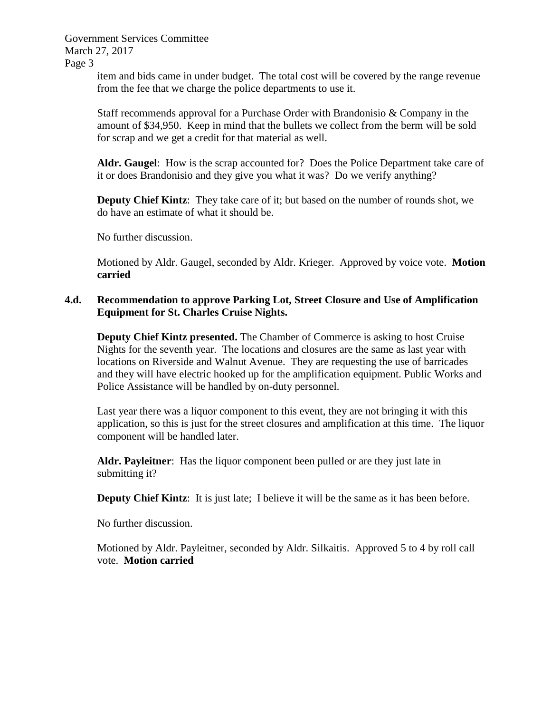> item and bids came in under budget. The total cost will be covered by the range revenue from the fee that we charge the police departments to use it.

> Staff recommends approval for a Purchase Order with Brandonisio & Company in the amount of \$34,950. Keep in mind that the bullets we collect from the berm will be sold for scrap and we get a credit for that material as well.

**Aldr. Gaugel**: How is the scrap accounted for? Does the Police Department take care of it or does Brandonisio and they give you what it was? Do we verify anything?

**Deputy Chief Kintz**: They take care of it; but based on the number of rounds shot, we do have an estimate of what it should be.

No further discussion.

Motioned by Aldr. Gaugel, seconded by Aldr. Krieger. Approved by voice vote. **Motion carried**

## **4.d. Recommendation to approve Parking Lot, Street Closure and Use of Amplification Equipment for St. Charles Cruise Nights.**

**Deputy Chief Kintz presented.** The Chamber of Commerce is asking to host Cruise Nights for the seventh year. The locations and closures are the same as last year with locations on Riverside and Walnut Avenue. They are requesting the use of barricades and they will have electric hooked up for the amplification equipment. Public Works and Police Assistance will be handled by on-duty personnel.

Last year there was a liquor component to this event, they are not bringing it with this application, so this is just for the street closures and amplification at this time. The liquor component will be handled later.

**Aldr. Payleitner**: Has the liquor component been pulled or are they just late in submitting it?

**Deputy Chief Kintz**: It is just late; I believe it will be the same as it has been before.

No further discussion.

Motioned by Aldr. Payleitner, seconded by Aldr. Silkaitis. Approved 5 to 4 by roll call vote. **Motion carried**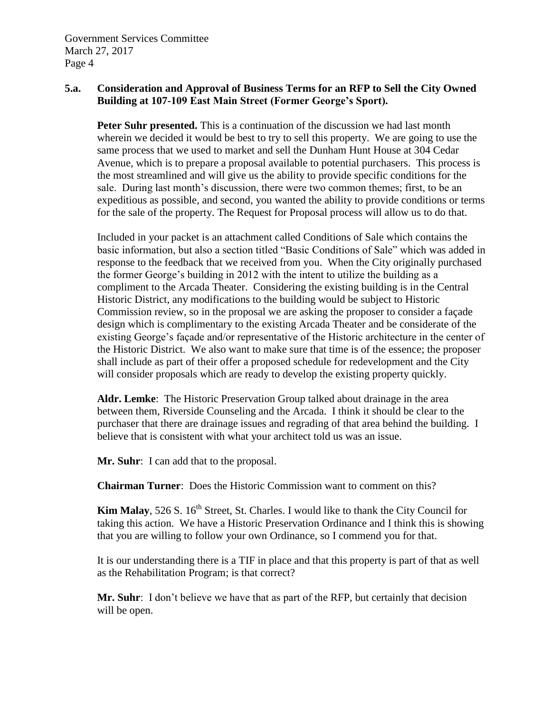## **5.a. Consideration and Approval of Business Terms for an RFP to Sell the City Owned Building at 107-109 East Main Street (Former George's Sport).**

**Peter Suhr presented.** This is a continuation of the discussion we had last month wherein we decided it would be best to try to sell this property. We are going to use the same process that we used to market and sell the Dunham Hunt House at 304 Cedar Avenue, which is to prepare a proposal available to potential purchasers. This process is the most streamlined and will give us the ability to provide specific conditions for the sale. During last month's discussion, there were two common themes; first, to be an expeditious as possible, and second, you wanted the ability to provide conditions or terms for the sale of the property. The Request for Proposal process will allow us to do that.

Included in your packet is an attachment called Conditions of Sale which contains the basic information, but also a section titled "Basic Conditions of Sale" which was added in response to the feedback that we received from you. When the City originally purchased the former George's building in 2012 with the intent to utilize the building as a compliment to the Arcada Theater. Considering the existing building is in the Central Historic District, any modifications to the building would be subject to Historic Commission review, so in the proposal we are asking the proposer to consider a façade design which is complimentary to the existing Arcada Theater and be considerate of the existing George's façade and/or representative of the Historic architecture in the center of the Historic District. We also want to make sure that time is of the essence; the proposer shall include as part of their offer a proposed schedule for redevelopment and the City will consider proposals which are ready to develop the existing property quickly.

**Aldr. Lemke**: The Historic Preservation Group talked about drainage in the area between them, Riverside Counseling and the Arcada. I think it should be clear to the purchaser that there are drainage issues and regrading of that area behind the building. I believe that is consistent with what your architect told us was an issue.

**Mr. Suhr**: I can add that to the proposal.

**Chairman Turner**: Does the Historic Commission want to comment on this?

**Kim Malay**, 526 S. 16<sup>th</sup> Street, St. Charles. I would like to thank the City Council for taking this action. We have a Historic Preservation Ordinance and I think this is showing that you are willing to follow your own Ordinance, so I commend you for that.

It is our understanding there is a TIF in place and that this property is part of that as well as the Rehabilitation Program; is that correct?

**Mr. Suhr**: I don't believe we have that as part of the RFP, but certainly that decision will be open.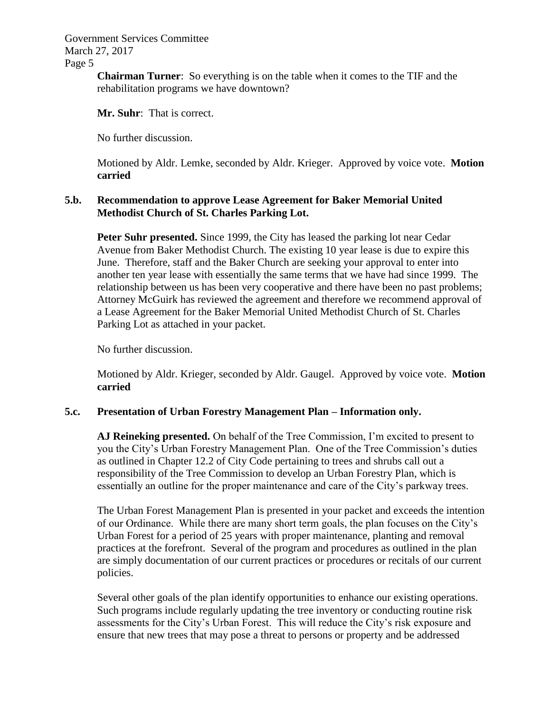**Chairman Turner**: So everything is on the table when it comes to the TIF and the rehabilitation programs we have downtown?

**Mr. Suhr**: That is correct.

No further discussion.

Motioned by Aldr. Lemke, seconded by Aldr. Krieger. Approved by voice vote. **Motion carried**

### **5.b. Recommendation to approve Lease Agreement for Baker Memorial United Methodist Church of St. Charles Parking Lot.**

**Peter Suhr presented.** Since 1999, the City has leased the parking lot near Cedar Avenue from Baker Methodist Church. The existing 10 year lease is due to expire this June. Therefore, staff and the Baker Church are seeking your approval to enter into another ten year lease with essentially the same terms that we have had since 1999. The relationship between us has been very cooperative and there have been no past problems; Attorney McGuirk has reviewed the agreement and therefore we recommend approval of a Lease Agreement for the Baker Memorial United Methodist Church of St. Charles Parking Lot as attached in your packet.

No further discussion.

Motioned by Aldr. Krieger, seconded by Aldr. Gaugel. Approved by voice vote. **Motion carried**

### **5.c. Presentation of Urban Forestry Management Plan – Information only.**

**AJ Reineking presented.** On behalf of the Tree Commission, I'm excited to present to you the City's Urban Forestry Management Plan. One of the Tree Commission's duties as outlined in Chapter 12.2 of City Code pertaining to trees and shrubs call out a responsibility of the Tree Commission to develop an Urban Forestry Plan, which is essentially an outline for the proper maintenance and care of the City's parkway trees.

The Urban Forest Management Plan is presented in your packet and exceeds the intention of our Ordinance. While there are many short term goals, the plan focuses on the City's Urban Forest for a period of 25 years with proper maintenance, planting and removal practices at the forefront. Several of the program and procedures as outlined in the plan are simply documentation of our current practices or procedures or recitals of our current policies.

Several other goals of the plan identify opportunities to enhance our existing operations. Such programs include regularly updating the tree inventory or conducting routine risk assessments for the City's Urban Forest. This will reduce the City's risk exposure and ensure that new trees that may pose a threat to persons or property and be addressed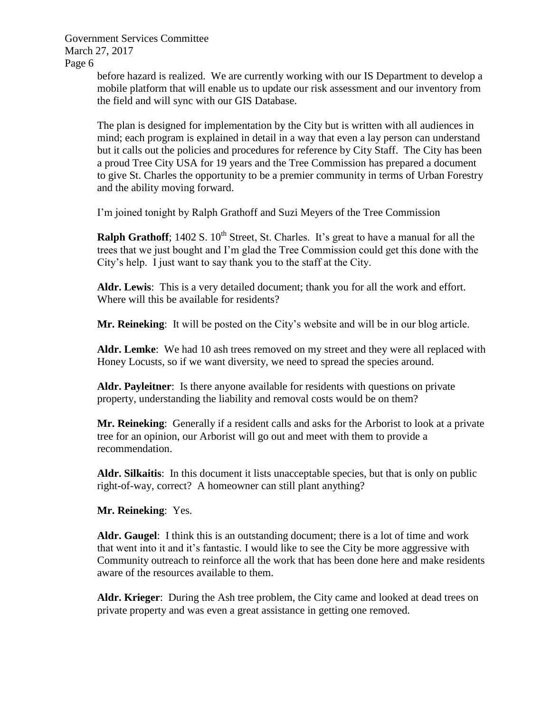> before hazard is realized. We are currently working with our IS Department to develop a mobile platform that will enable us to update our risk assessment and our inventory from the field and will sync with our GIS Database.

> The plan is designed for implementation by the City but is written with all audiences in mind; each program is explained in detail in a way that even a lay person can understand but it calls out the policies and procedures for reference by City Staff. The City has been a proud Tree City USA for 19 years and the Tree Commission has prepared a document to give St. Charles the opportunity to be a premier community in terms of Urban Forestry and the ability moving forward.

I'm joined tonight by Ralph Grathoff and Suzi Meyers of the Tree Commission

**Ralph Grathoff**; 1402 S. 10<sup>th</sup> Street, St. Charles. It's great to have a manual for all the trees that we just bought and I'm glad the Tree Commission could get this done with the City's help. I just want to say thank you to the staff at the City.

**Aldr. Lewis**: This is a very detailed document; thank you for all the work and effort. Where will this be available for residents?

**Mr. Reineking**: It will be posted on the City's website and will be in our blog article.

**Aldr. Lemke**: We had 10 ash trees removed on my street and they were all replaced with Honey Locusts, so if we want diversity, we need to spread the species around.

**Aldr. Payleitner**: Is there anyone available for residents with questions on private property, understanding the liability and removal costs would be on them?

**Mr. Reineking**: Generally if a resident calls and asks for the Arborist to look at a private tree for an opinion, our Arborist will go out and meet with them to provide a recommendation.

**Aldr. Silkaitis**: In this document it lists unacceptable species, but that is only on public right-of-way, correct? A homeowner can still plant anything?

**Mr. Reineking**: Yes.

**Aldr. Gaugel**: I think this is an outstanding document; there is a lot of time and work that went into it and it's fantastic. I would like to see the City be more aggressive with Community outreach to reinforce all the work that has been done here and make residents aware of the resources available to them.

**Aldr. Krieger**: During the Ash tree problem, the City came and looked at dead trees on private property and was even a great assistance in getting one removed.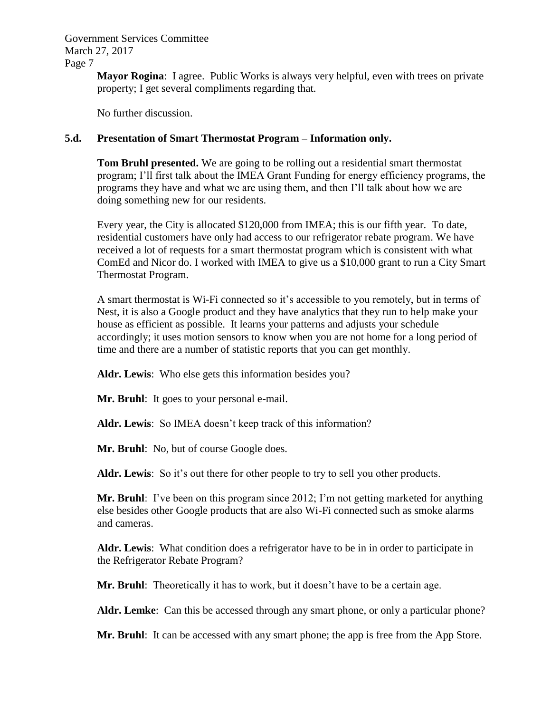Government Services Committee March 27, 2017

Page 7

**Mayor Rogina**: I agree. Public Works is always very helpful, even with trees on private property; I get several compliments regarding that.

No further discussion.

## **5.d. Presentation of Smart Thermostat Program – Information only.**

**Tom Bruhl presented.** We are going to be rolling out a residential smart thermostat program; I'll first talk about the IMEA Grant Funding for energy efficiency programs, the programs they have and what we are using them, and then I'll talk about how we are doing something new for our residents.

Every year, the City is allocated \$120,000 from IMEA; this is our fifth year. To date, residential customers have only had access to our refrigerator rebate program. We have received a lot of requests for a smart thermostat program which is consistent with what ComEd and Nicor do. I worked with IMEA to give us a \$10,000 grant to run a City Smart Thermostat Program.

A smart thermostat is Wi-Fi connected so it's accessible to you remotely, but in terms of Nest, it is also a Google product and they have analytics that they run to help make your house as efficient as possible. It learns your patterns and adjusts your schedule accordingly; it uses motion sensors to know when you are not home for a long period of time and there are a number of statistic reports that you can get monthly.

**Aldr. Lewis**: Who else gets this information besides you?

**Mr. Bruhl**: It goes to your personal e-mail.

**Aldr. Lewis**: So IMEA doesn't keep track of this information?

Mr. Bruhl: No, but of course Google does.

**Aldr. Lewis**: So it's out there for other people to try to sell you other products.

**Mr. Bruhl**: I've been on this program since 2012; I'm not getting marketed for anything else besides other Google products that are also Wi-Fi connected such as smoke alarms and cameras.

**Aldr. Lewis**: What condition does a refrigerator have to be in in order to participate in the Refrigerator Rebate Program?

**Mr. Bruhl**: Theoretically it has to work, but it doesn't have to be a certain age.

**Aldr. Lemke**: Can this be accessed through any smart phone, or only a particular phone?

**Mr. Bruhl**: It can be accessed with any smart phone; the app is free from the App Store.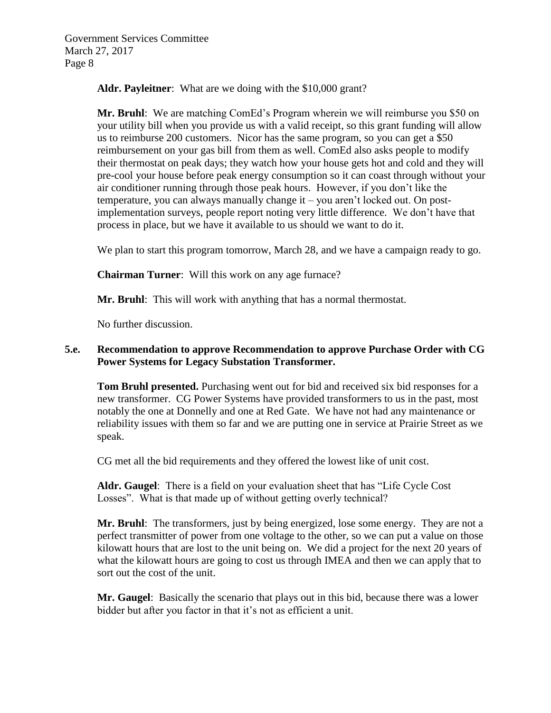**Aldr. Payleitner**: What are we doing with the \$10,000 grant?

**Mr. Bruhl**: We are matching ComEd's Program wherein we will reimburse you \$50 on your utility bill when you provide us with a valid receipt, so this grant funding will allow us to reimburse 200 customers. Nicor has the same program, so you can get a \$50 reimbursement on your gas bill from them as well. ComEd also asks people to modify their thermostat on peak days; they watch how your house gets hot and cold and they will pre-cool your house before peak energy consumption so it can coast through without your air conditioner running through those peak hours. However, if you don't like the temperature, you can always manually change it – you aren't locked out. On postimplementation surveys, people report noting very little difference. We don't have that process in place, but we have it available to us should we want to do it.

We plan to start this program tomorrow, March 28, and we have a campaign ready to go.

**Chairman Turner**: Will this work on any age furnace?

**Mr. Bruhl**: This will work with anything that has a normal thermostat.

No further discussion.

## **5.e. Recommendation to approve Recommendation to approve Purchase Order with CG Power Systems for Legacy Substation Transformer.**

**Tom Bruhl presented.** Purchasing went out for bid and received six bid responses for a new transformer. CG Power Systems have provided transformers to us in the past, most notably the one at Donnelly and one at Red Gate. We have not had any maintenance or reliability issues with them so far and we are putting one in service at Prairie Street as we speak.

CG met all the bid requirements and they offered the lowest like of unit cost.

**Aldr. Gaugel**: There is a field on your evaluation sheet that has "Life Cycle Cost Losses". What is that made up of without getting overly technical?

**Mr. Bruhl**: The transformers, just by being energized, lose some energy. They are not a perfect transmitter of power from one voltage to the other, so we can put a value on those kilowatt hours that are lost to the unit being on. We did a project for the next 20 years of what the kilowatt hours are going to cost us through IMEA and then we can apply that to sort out the cost of the unit.

**Mr. Gaugel**: Basically the scenario that plays out in this bid, because there was a lower bidder but after you factor in that it's not as efficient a unit.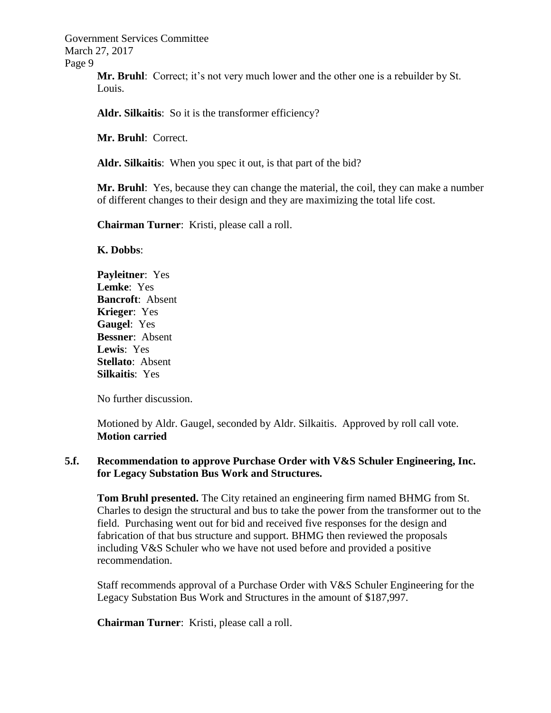Government Services Committee March 27, 2017

Page 9

**Mr. Bruhl**: Correct; it's not very much lower and the other one is a rebuilder by St. Louis.

Aldr. Silkaitis: So it is the transformer efficiency?

**Mr. Bruhl**: Correct.

**Aldr. Silkaitis**: When you spec it out, is that part of the bid?

**Mr. Bruhl**: Yes, because they can change the material, the coil, they can make a number of different changes to their design and they are maximizing the total life cost.

**Chairman Turner**: Kristi, please call a roll.

**K. Dobbs**:

**Payleitner**: Yes **Lemke**: Yes **Bancroft**: Absent **Krieger**: Yes **Gaugel**: Yes **Bessner**: Absent **Lewis**: Yes **Stellato**: Absent **Silkaitis**: Yes

No further discussion.

Motioned by Aldr. Gaugel, seconded by Aldr. Silkaitis. Approved by roll call vote. **Motion carried**

## **5.f. Recommendation to approve Purchase Order with V&S Schuler Engineering, Inc. for Legacy Substation Bus Work and Structures.**

**Tom Bruhl presented.** The City retained an engineering firm named BHMG from St. Charles to design the structural and bus to take the power from the transformer out to the field. Purchasing went out for bid and received five responses for the design and fabrication of that bus structure and support. BHMG then reviewed the proposals including V&S Schuler who we have not used before and provided a positive recommendation.

Staff recommends approval of a Purchase Order with V&S Schuler Engineering for the Legacy Substation Bus Work and Structures in the amount of \$187,997.

**Chairman Turner**: Kristi, please call a roll.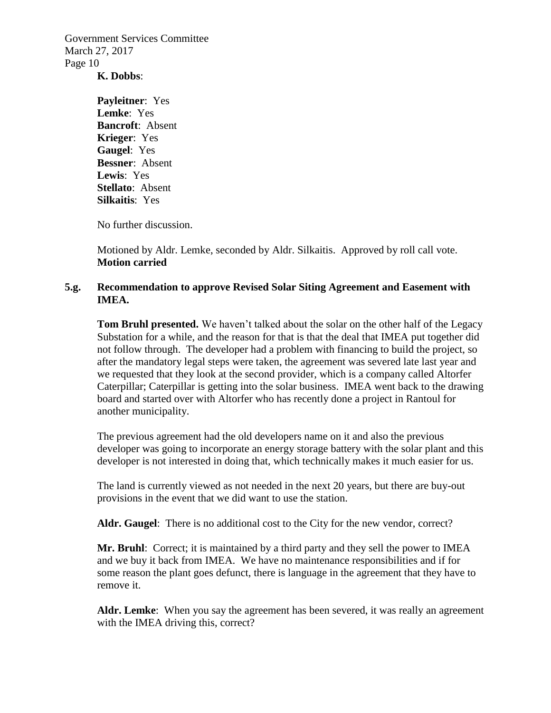### **K. Dobbs**:

**Payleitner**: Yes **Lemke**: Yes **Bancroft**: Absent **Krieger**: Yes **Gaugel**: Yes **Bessner**: Absent **Lewis**: Yes **Stellato**: Absent **Silkaitis**: Yes

No further discussion.

Motioned by Aldr. Lemke, seconded by Aldr. Silkaitis. Approved by roll call vote. **Motion carried**

### **5.g. Recommendation to approve Revised Solar Siting Agreement and Easement with IMEA.**

**Tom Bruhl presented.** We haven't talked about the solar on the other half of the Legacy Substation for a while, and the reason for that is that the deal that IMEA put together did not follow through. The developer had a problem with financing to build the project, so after the mandatory legal steps were taken, the agreement was severed late last year and we requested that they look at the second provider, which is a company called Altorfer Caterpillar; Caterpillar is getting into the solar business. IMEA went back to the drawing board and started over with Altorfer who has recently done a project in Rantoul for another municipality.

The previous agreement had the old developers name on it and also the previous developer was going to incorporate an energy storage battery with the solar plant and this developer is not interested in doing that, which technically makes it much easier for us.

The land is currently viewed as not needed in the next 20 years, but there are buy-out provisions in the event that we did want to use the station.

**Aldr. Gaugel**: There is no additional cost to the City for the new vendor, correct?

**Mr. Bruhl**: Correct; it is maintained by a third party and they sell the power to IMEA and we buy it back from IMEA. We have no maintenance responsibilities and if for some reason the plant goes defunct, there is language in the agreement that they have to remove it.

**Aldr. Lemke**: When you say the agreement has been severed, it was really an agreement with the IMEA driving this, correct?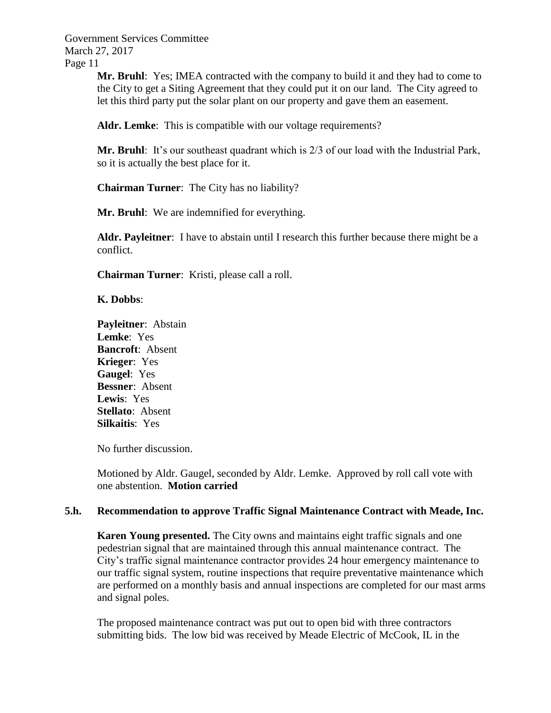> **Mr. Bruhl**: Yes; **IMEA** contracted with the company to build it and they had to come to the City to get a Siting Agreement that they could put it on our land. The City agreed to let this third party put the solar plant on our property and gave them an easement.

**Aldr. Lemke**: This is compatible with our voltage requirements?

**Mr. Bruhl**: It's our southeast quadrant which is 2/3 of our load with the Industrial Park, so it is actually the best place for it.

**Chairman Turner**: The City has no liability?

**Mr. Bruhl**: We are indemnified for everything.

**Aldr. Payleitner**: I have to abstain until I research this further because there might be a conflict.

**Chairman Turner**: Kristi, please call a roll.

**K. Dobbs**:

**Payleitner**: Abstain **Lemke**: Yes **Bancroft**: Absent **Krieger**: Yes **Gaugel**: Yes **Bessner**: Absent **Lewis**: Yes **Stellato**: Absent **Silkaitis**: Yes

No further discussion.

Motioned by Aldr. Gaugel, seconded by Aldr. Lemke. Approved by roll call vote with one abstention. **Motion carried**

### **5.h. Recommendation to approve Traffic Signal Maintenance Contract with Meade, Inc.**

**Karen Young presented.** The City owns and maintains eight traffic signals and one pedestrian signal that are maintained through this annual maintenance contract. The City's traffic signal maintenance contractor provides 24 hour emergency maintenance to our traffic signal system, routine inspections that require preventative maintenance which are performed on a monthly basis and annual inspections are completed for our mast arms and signal poles.

The proposed maintenance contract was put out to open bid with three contractors submitting bids. The low bid was received by Meade Electric of McCook, IL in the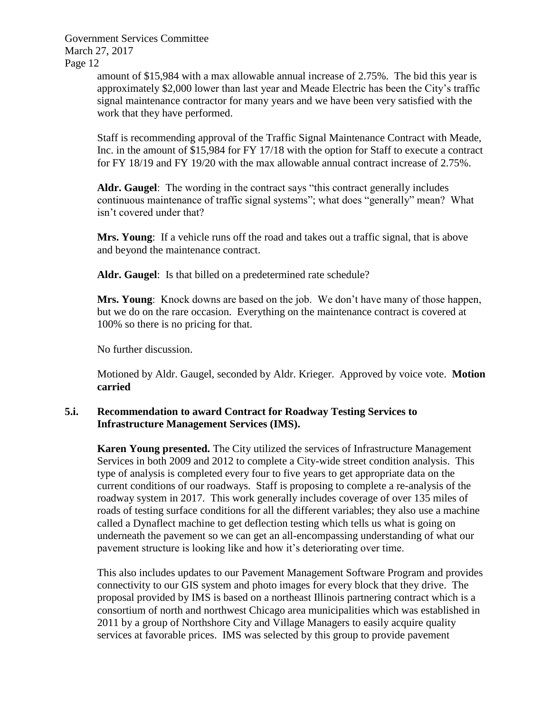> amount of \$15,984 with a max allowable annual increase of 2.75%. The bid this year is approximately \$2,000 lower than last year and Meade Electric has been the City's traffic signal maintenance contractor for many years and we have been very satisfied with the work that they have performed.

> Staff is recommending approval of the Traffic Signal Maintenance Contract with Meade, Inc. in the amount of \$15,984 for FY 17/18 with the option for Staff to execute a contract for FY 18/19 and FY 19/20 with the max allowable annual contract increase of 2.75%.

**Aldr. Gaugel**: The wording in the contract says "this contract generally includes continuous maintenance of traffic signal systems"; what does "generally" mean? What isn't covered under that?

**Mrs. Young**: If a vehicle runs off the road and takes out a traffic signal, that is above and beyond the maintenance contract.

**Aldr. Gaugel**: Is that billed on a predetermined rate schedule?

**Mrs. Young**: Knock downs are based on the job. We don't have many of those happen, but we do on the rare occasion. Everything on the maintenance contract is covered at 100% so there is no pricing for that.

No further discussion.

Motioned by Aldr. Gaugel, seconded by Aldr. Krieger. Approved by voice vote. **Motion carried**

## **5.i. Recommendation to award Contract for Roadway Testing Services to Infrastructure Management Services (IMS).**

**Karen Young presented.** The City utilized the services of Infrastructure Management Services in both 2009 and 2012 to complete a City-wide street condition analysis. This type of analysis is completed every four to five years to get appropriate data on the current conditions of our roadways. Staff is proposing to complete a re-analysis of the roadway system in 2017. This work generally includes coverage of over 135 miles of roads of testing surface conditions for all the different variables; they also use a machine called a Dynaflect machine to get deflection testing which tells us what is going on underneath the pavement so we can get an all-encompassing understanding of what our pavement structure is looking like and how it's deteriorating over time.

This also includes updates to our Pavement Management Software Program and provides connectivity to our GIS system and photo images for every block that they drive. The proposal provided by IMS is based on a northeast Illinois partnering contract which is a consortium of north and northwest Chicago area municipalities which was established in 2011 by a group of Northshore City and Village Managers to easily acquire quality services at favorable prices. IMS was selected by this group to provide pavement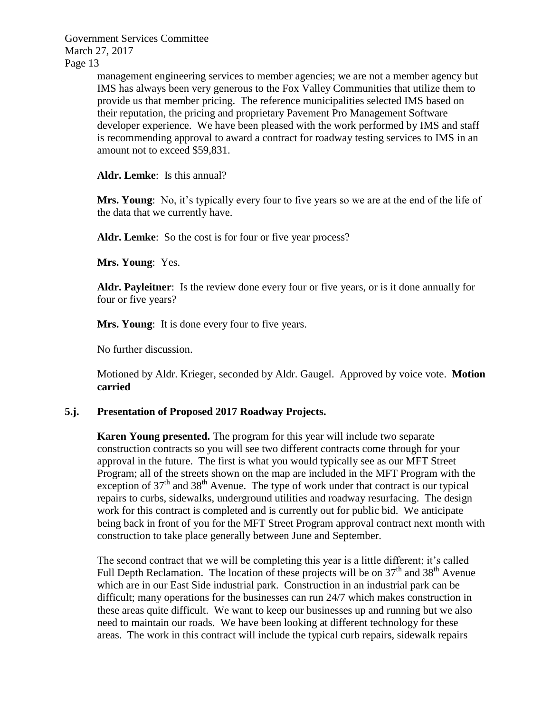> management engineering services to member agencies; we are not a member agency but IMS has always been very generous to the Fox Valley Communities that utilize them to provide us that member pricing. The reference municipalities selected IMS based on their reputation, the pricing and proprietary Pavement Pro Management Software developer experience. We have been pleased with the work performed by IMS and staff is recommending approval to award a contract for roadway testing services to IMS in an amount not to exceed \$59,831.

**Aldr. Lemke**: Is this annual?

**Mrs. Young**: No, it's typically every four to five years so we are at the end of the life of the data that we currently have.

Aldr. Lemke: So the cost is for four or five year process?

**Mrs. Young**: Yes.

**Aldr. Payleitner**: Is the review done every four or five years, or is it done annually for four or five years?

**Mrs. Young:** It is done every four to five years.

No further discussion.

Motioned by Aldr. Krieger, seconded by Aldr. Gaugel. Approved by voice vote. **Motion carried**

### **5.j. Presentation of Proposed 2017 Roadway Projects.**

**Karen Young presented.** The program for this year will include two separate construction contracts so you will see two different contracts come through for your approval in the future. The first is what you would typically see as our MFT Street Program; all of the streets shown on the map are included in the MFT Program with the exception of  $37<sup>th</sup>$  and  $38<sup>th</sup>$  Avenue. The type of work under that contract is our typical repairs to curbs, sidewalks, underground utilities and roadway resurfacing. The design work for this contract is completed and is currently out for public bid. We anticipate being back in front of you for the MFT Street Program approval contract next month with construction to take place generally between June and September.

The second contract that we will be completing this year is a little different; it's called Full Depth Reclamation. The location of these projects will be on  $37<sup>th</sup>$  and  $38<sup>th</sup>$  Avenue which are in our East Side industrial park. Construction in an industrial park can be difficult; many operations for the businesses can run 24/7 which makes construction in these areas quite difficult. We want to keep our businesses up and running but we also need to maintain our roads. We have been looking at different technology for these areas. The work in this contract will include the typical curb repairs, sidewalk repairs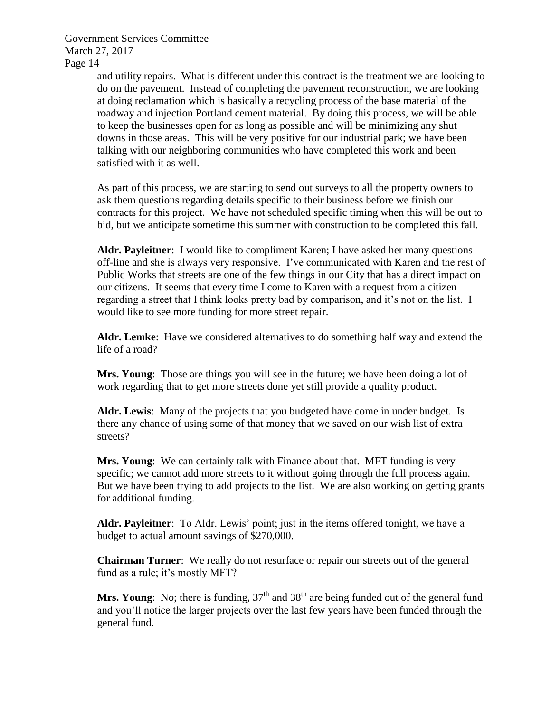> and utility repairs. What is different under this contract is the treatment we are looking to do on the pavement. Instead of completing the pavement reconstruction, we are looking at doing reclamation which is basically a recycling process of the base material of the roadway and injection Portland cement material. By doing this process, we will be able to keep the businesses open for as long as possible and will be minimizing any shut downs in those areas. This will be very positive for our industrial park; we have been talking with our neighboring communities who have completed this work and been satisfied with it as well.

> As part of this process, we are starting to send out surveys to all the property owners to ask them questions regarding details specific to their business before we finish our contracts for this project. We have not scheduled specific timing when this will be out to bid, but we anticipate sometime this summer with construction to be completed this fall.

> **Aldr. Payleitner**: I would like to compliment Karen; I have asked her many questions off-line and she is always very responsive. I've communicated with Karen and the rest of Public Works that streets are one of the few things in our City that has a direct impact on our citizens. It seems that every time I come to Karen with a request from a citizen regarding a street that I think looks pretty bad by comparison, and it's not on the list. I would like to see more funding for more street repair.

> **Aldr. Lemke**: Have we considered alternatives to do something half way and extend the life of a road?

**Mrs. Young:** Those are things you will see in the future; we have been doing a lot of work regarding that to get more streets done yet still provide a quality product.

**Aldr. Lewis**: Many of the projects that you budgeted have come in under budget. Is there any chance of using some of that money that we saved on our wish list of extra streets?

**Mrs. Young**: We can certainly talk with Finance about that. MFT funding is very specific; we cannot add more streets to it without going through the full process again. But we have been trying to add projects to the list. We are also working on getting grants for additional funding.

**Aldr. Payleitner**: To Aldr. Lewis' point; just in the items offered tonight, we have a budget to actual amount savings of \$270,000.

**Chairman Turner**: We really do not resurface or repair our streets out of the general fund as a rule; it's mostly MFT?

**Mrs. Young**: No; there is funding,  $37<sup>th</sup>$  and  $38<sup>th</sup>$  are being funded out of the general fund and you'll notice the larger projects over the last few years have been funded through the general fund.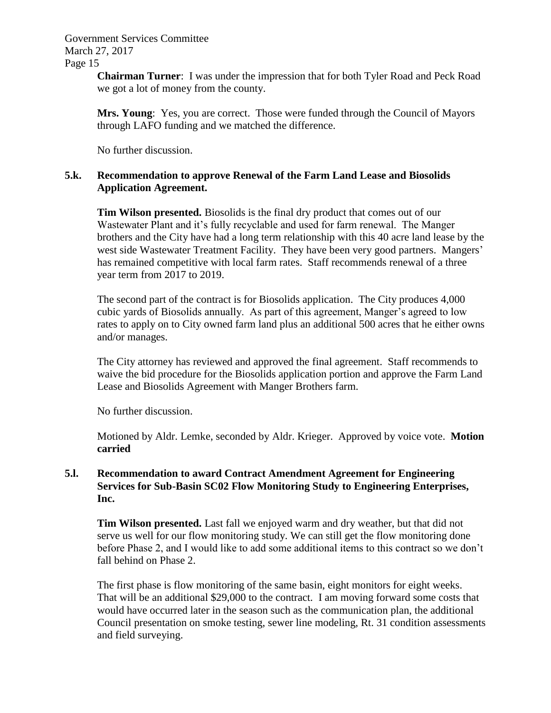> **Chairman Turner**: I was under the impression that for both Tyler Road and Peck Road we got a lot of money from the county.

**Mrs. Young**: Yes, you are correct. Those were funded through the Council of Mayors through LAFO funding and we matched the difference.

No further discussion.

## **5.k. Recommendation to approve Renewal of the Farm Land Lease and Biosolids Application Agreement.**

**Tim Wilson presented.** Biosolids is the final dry product that comes out of our Wastewater Plant and it's fully recyclable and used for farm renewal. The Manger brothers and the City have had a long term relationship with this 40 acre land lease by the west side Wastewater Treatment Facility. They have been very good partners. Mangers' has remained competitive with local farm rates. Staff recommends renewal of a three year term from 2017 to 2019.

The second part of the contract is for Biosolids application. The City produces 4,000 cubic yards of Biosolids annually. As part of this agreement, Manger's agreed to low rates to apply on to City owned farm land plus an additional 500 acres that he either owns and/or manages.

The City attorney has reviewed and approved the final agreement. Staff recommends to waive the bid procedure for the Biosolids application portion and approve the Farm Land Lease and Biosolids Agreement with Manger Brothers farm.

No further discussion.

Motioned by Aldr. Lemke, seconded by Aldr. Krieger. Approved by voice vote. **Motion carried**

## **5.l. Recommendation to award Contract Amendment Agreement for Engineering Services for Sub-Basin SC02 Flow Monitoring Study to Engineering Enterprises, Inc.**

**Tim Wilson presented.** Last fall we enjoyed warm and dry weather, but that did not serve us well for our flow monitoring study. We can still get the flow monitoring done before Phase 2, and I would like to add some additional items to this contract so we don't fall behind on Phase 2.

The first phase is flow monitoring of the same basin, eight monitors for eight weeks. That will be an additional \$29,000 to the contract. I am moving forward some costs that would have occurred later in the season such as the communication plan, the additional Council presentation on smoke testing, sewer line modeling, Rt. 31 condition assessments and field surveying.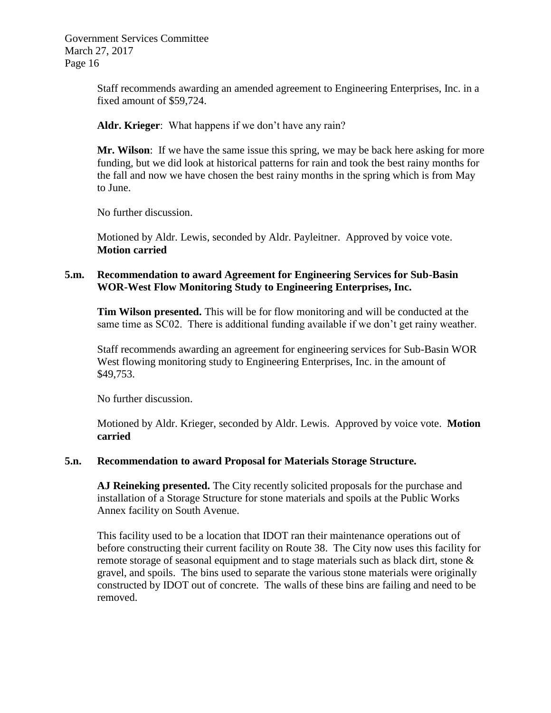> Staff recommends awarding an amended agreement to Engineering Enterprises, Inc. in a fixed amount of \$59,724.

**Aldr. Krieger**: What happens if we don't have any rain?

**Mr. Wilson**: If we have the same issue this spring, we may be back here asking for more funding, but we did look at historical patterns for rain and took the best rainy months for the fall and now we have chosen the best rainy months in the spring which is from May to June.

No further discussion.

Motioned by Aldr. Lewis, seconded by Aldr. Payleitner. Approved by voice vote. **Motion carried**

## **5.m. Recommendation to award Agreement for Engineering Services for Sub-Basin WOR-West Flow Monitoring Study to Engineering Enterprises, Inc.**

**Tim Wilson presented.** This will be for flow monitoring and will be conducted at the same time as SC02. There is additional funding available if we don't get rainy weather.

Staff recommends awarding an agreement for engineering services for Sub-Basin WOR West flowing monitoring study to Engineering Enterprises, Inc. in the amount of \$49,753.

No further discussion.

Motioned by Aldr. Krieger, seconded by Aldr. Lewis. Approved by voice vote. **Motion carried**

## **5.n. Recommendation to award Proposal for Materials Storage Structure.**

**AJ Reineking presented.** The City recently solicited proposals for the purchase and installation of a Storage Structure for stone materials and spoils at the Public Works Annex facility on South Avenue.

This facility used to be a location that IDOT ran their maintenance operations out of before constructing their current facility on Route 38. The City now uses this facility for remote storage of seasonal equipment and to stage materials such as black dirt, stone  $\&$ gravel, and spoils. The bins used to separate the various stone materials were originally constructed by IDOT out of concrete. The walls of these bins are failing and need to be removed.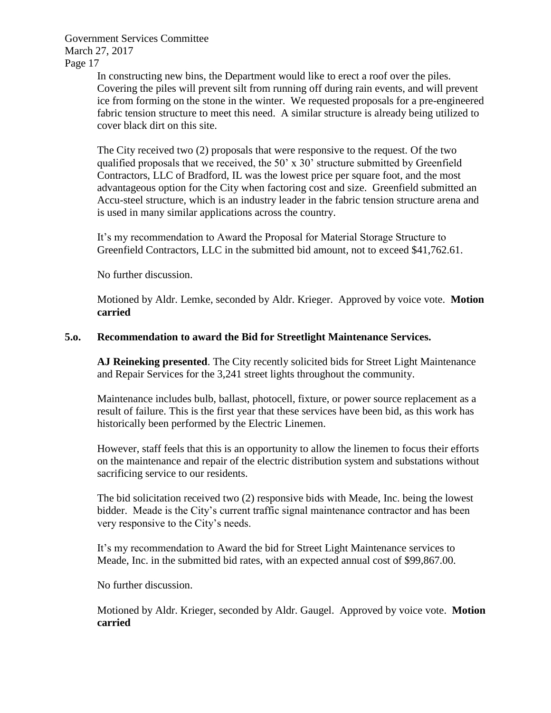> In constructing new bins, the Department would like to erect a roof over the piles. Covering the piles will prevent silt from running off during rain events, and will prevent ice from forming on the stone in the winter. We requested proposals for a pre-engineered fabric tension structure to meet this need. A similar structure is already being utilized to cover black dirt on this site.

The City received two (2) proposals that were responsive to the request. Of the two qualified proposals that we received, the 50' x 30' structure submitted by Greenfield Contractors, LLC of Bradford, IL was the lowest price per square foot, and the most advantageous option for the City when factoring cost and size. Greenfield submitted an Accu-steel structure, which is an industry leader in the fabric tension structure arena and is used in many similar applications across the country.

It's my recommendation to Award the Proposal for Material Storage Structure to Greenfield Contractors, LLC in the submitted bid amount, not to exceed \$41,762.61.

No further discussion.

Motioned by Aldr. Lemke, seconded by Aldr. Krieger. Approved by voice vote. **Motion carried**

## **5.o. Recommendation to award the Bid for Streetlight Maintenance Services.**

**AJ Reineking presented**. The City recently solicited bids for Street Light Maintenance and Repair Services for the 3,241 street lights throughout the community.

Maintenance includes bulb, ballast, photocell, fixture, or power source replacement as a result of failure. This is the first year that these services have been bid, as this work has historically been performed by the Electric Linemen.

However, staff feels that this is an opportunity to allow the linemen to focus their efforts on the maintenance and repair of the electric distribution system and substations without sacrificing service to our residents.

The bid solicitation received two (2) responsive bids with Meade, Inc. being the lowest bidder. Meade is the City's current traffic signal maintenance contractor and has been very responsive to the City's needs.

It's my recommendation to Award the bid for Street Light Maintenance services to Meade, Inc. in the submitted bid rates, with an expected annual cost of \$99,867.00.

No further discussion.

Motioned by Aldr. Krieger, seconded by Aldr. Gaugel. Approved by voice vote. **Motion carried**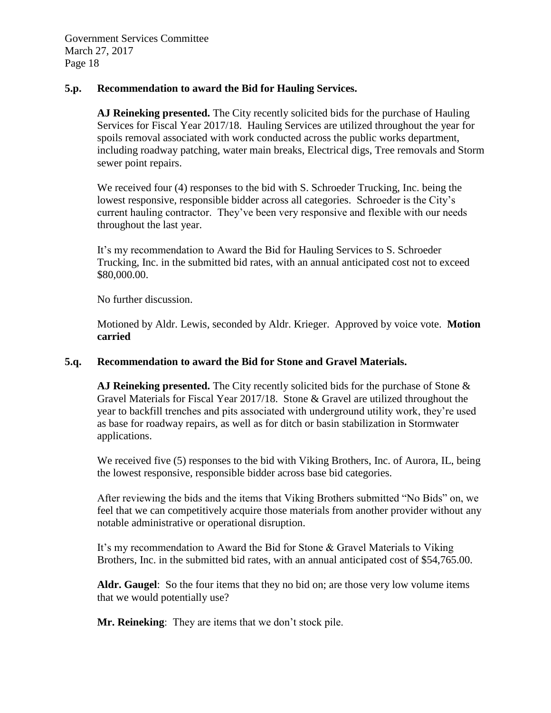#### **5.p. Recommendation to award the Bid for Hauling Services.**

**AJ Reineking presented.** The City recently solicited bids for the purchase of Hauling Services for Fiscal Year 2017/18. Hauling Services are utilized throughout the year for spoils removal associated with work conducted across the public works department, including roadway patching, water main breaks, Electrical digs, Tree removals and Storm sewer point repairs.

We received four (4) responses to the bid with S. Schroeder Trucking, Inc. being the lowest responsive, responsible bidder across all categories. Schroeder is the City's current hauling contractor. They've been very responsive and flexible with our needs throughout the last year.

It's my recommendation to Award the Bid for Hauling Services to S. Schroeder Trucking, Inc. in the submitted bid rates, with an annual anticipated cost not to exceed \$80,000.00.

No further discussion.

Motioned by Aldr. Lewis, seconded by Aldr. Krieger. Approved by voice vote. **Motion carried**

### **5.q. Recommendation to award the Bid for Stone and Gravel Materials.**

**AJ Reineking presented.** The City recently solicited bids for the purchase of Stone & Gravel Materials for Fiscal Year 2017/18. Stone & Gravel are utilized throughout the year to backfill trenches and pits associated with underground utility work, they're used as base for roadway repairs, as well as for ditch or basin stabilization in Stormwater applications.

We received five (5) responses to the bid with Viking Brothers, Inc. of Aurora, IL, being the lowest responsive, responsible bidder across base bid categories.

After reviewing the bids and the items that Viking Brothers submitted "No Bids" on, we feel that we can competitively acquire those materials from another provider without any notable administrative or operational disruption.

It's my recommendation to Award the Bid for Stone & Gravel Materials to Viking Brothers, Inc. in the submitted bid rates, with an annual anticipated cost of \$54,765.00.

**Aldr. Gaugel**: So the four items that they no bid on; are those very low volume items that we would potentially use?

**Mr. Reineking**: They are items that we don't stock pile.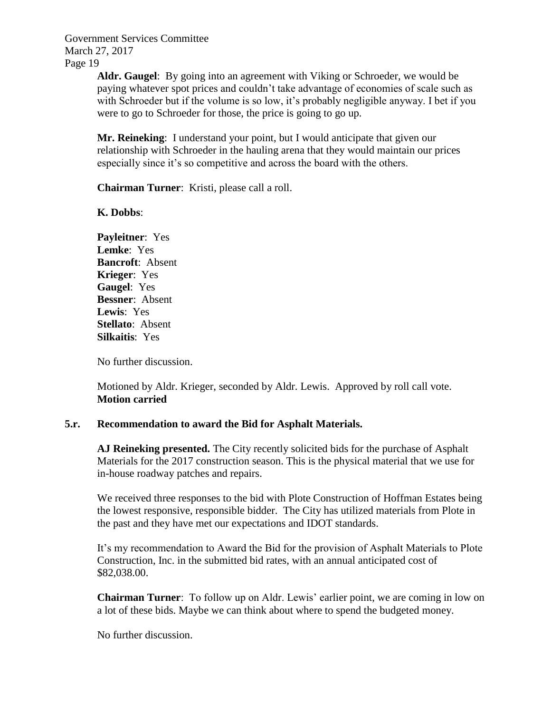> **Aldr. Gaugel**: By going into an agreement with Viking or Schroeder, we would be paying whatever spot prices and couldn't take advantage of economies of scale such as with Schroeder but if the volume is so low, it's probably negligible anyway. I bet if you were to go to Schroeder for those, the price is going to go up.

**Mr. Reineking**: I understand your point, but I would anticipate that given our relationship with Schroeder in the hauling arena that they would maintain our prices especially since it's so competitive and across the board with the others.

**Chairman Turner**: Kristi, please call a roll.

**K. Dobbs**:

**Payleitner**: Yes **Lemke**: Yes **Bancroft**: Absent **Krieger**: Yes **Gaugel**: Yes **Bessner**: Absent **Lewis**: Yes **Stellato**: Absent **Silkaitis**: Yes

No further discussion.

Motioned by Aldr. Krieger, seconded by Aldr. Lewis. Approved by roll call vote. **Motion carried**

### **5.r. Recommendation to award the Bid for Asphalt Materials.**

**AJ Reineking presented.** The City recently solicited bids for the purchase of Asphalt Materials for the 2017 construction season. This is the physical material that we use for in-house roadway patches and repairs.

We received three responses to the bid with Plote Construction of Hoffman Estates being the lowest responsive, responsible bidder. The City has utilized materials from Plote in the past and they have met our expectations and IDOT standards.

It's my recommendation to Award the Bid for the provision of Asphalt Materials to Plote Construction, Inc. in the submitted bid rates, with an annual anticipated cost of \$82,038.00.

**Chairman Turner**: To follow up on Aldr. Lewis' earlier point, we are coming in low on a lot of these bids. Maybe we can think about where to spend the budgeted money.

No further discussion.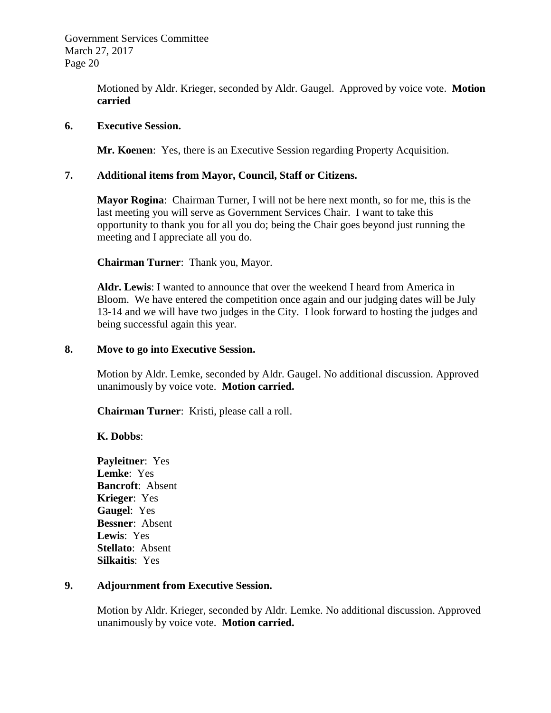> Motioned by Aldr. Krieger, seconded by Aldr. Gaugel. Approved by voice vote. **Motion carried**

### **6. Executive Session.**

**Mr. Koenen**: Yes, there is an Executive Session regarding Property Acquisition.

## **7. Additional items from Mayor, Council, Staff or Citizens.**

**Mayor Rogina**: Chairman Turner, I will not be here next month, so for me, this is the last meeting you will serve as Government Services Chair. I want to take this opportunity to thank you for all you do; being the Chair goes beyond just running the meeting and I appreciate all you do.

**Chairman Turner**: Thank you, Mayor.

**Aldr. Lewis**: I wanted to announce that over the weekend I heard from America in Bloom. We have entered the competition once again and our judging dates will be July 13-14 and we will have two judges in the City. I look forward to hosting the judges and being successful again this year.

### **8. Move to go into Executive Session.**

Motion by Aldr. Lemke, seconded by Aldr. Gaugel. No additional discussion. Approved unanimously by voice vote. **Motion carried.**

**Chairman Turner**: Kristi, please call a roll.

## **K. Dobbs**:

**Payleitner**: Yes **Lemke**: Yes **Bancroft**: Absent **Krieger**: Yes **Gaugel**: Yes **Bessner**: Absent **Lewis**: Yes **Stellato**: Absent **Silkaitis**: Yes

### **9. Adjournment from Executive Session.**

Motion by Aldr. Krieger, seconded by Aldr. Lemke. No additional discussion. Approved unanimously by voice vote. **Motion carried.**